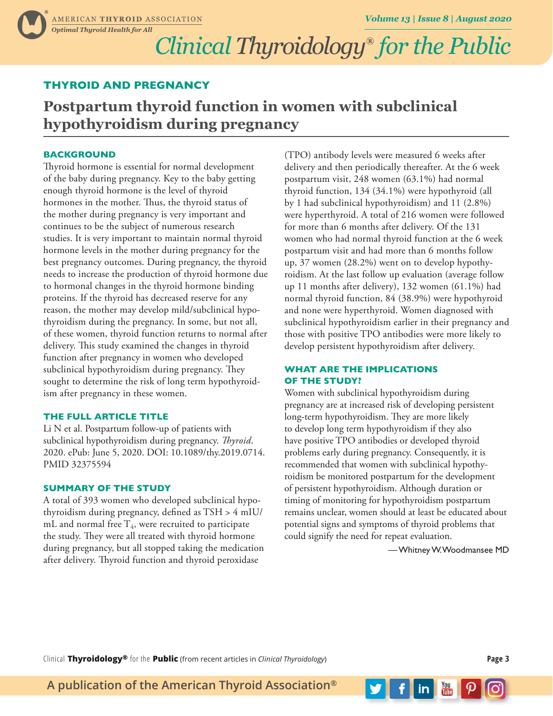# *Clinical Thyroidology***®** *for the Public*

### **THYROID AND PREGNANCY**

## **Postpartum thyroid function in women with subclinical hypothyroidism during pregnancy**

#### **BACKGROUND**

Thyroid hormone is essential for normal development of the baby during pregnancy. Key to the baby getting enough thyroid hormone is the level of thyroid hormones in the mother. Thus, the thyroid status of the mother during pregnancy is very important and continues to be the subject of numerous research studies. It is very important to maintain normal thyroid hormone levels in the mother during pregnancy for the best pregnancy outcomes. During pregnancy, the thyroid needs to increase the production of thyroid hormone due to hormonal changes in the thyroid hormone binding proteins. If the thyroid has decreased reserve for any reason, the mother may develop mild/subclinical hypothyroidism during the pregnancy. In some, but not all, of these women, thyroid function returns to normal after delivery. This study examined the changes in thyroid function after pregnancy in women who developed subclinical hypothyroidism during pregnancy. They sought to determine the risk of long term hypothyroidism after pregnancy in these women.

#### **THE FULL ARTICLE TITLE**

Li N et al. Postpartum follow-up of patients with subclinical hypothyroidism during pregnancy. *Thyroid*. 2020. ePub: June 5, 2020. DOI: 10.1089/thy.2019.0714. PMID 32375594

#### **SUMMARY OF THE STUDY**

A total of 393 women who developed subclinical hypothyroidism during pregnancy, defined as TSH > 4 mIU/ mL and normal free  $T_4$ , were recruited to participate the study. They were all treated with thyroid hormone during pregnancy, but all stopped taking the medication after delivery. Thyroid function and thyroid peroxidase

(TPO) antibody levels were measured 6 weeks after delivery and then periodically thereafter. At the 6 week postpartum visit, 248 women (63.1%) had normal thyroid function, 134 (34.1%) were hypothyroid (all by 1 had subclinical hypothyroidism) and 11 (2.8%) were hyperthyroid. A total of 216 women were followed for more than 6 months after delivery. Of the 131 women who had normal thyroid function at the 6 week postpartum visit and had more than 6 months follow up, 37 women (28.2%) went on to develop hypothyroidism. At the last follow up evaluation (average follow up 11 months after delivery), 132 women (61.1%) had normal thyroid function, 84 (38.9%) were hypothyroid and none were hyperthyroid. Women diagnosed with subclinical hypothyroidism earlier in their pregnancy and those with positive TPO antibodies were more likely to develop persistent hypothyroidism after delivery.

#### **WHAT ARE THE IMPLICATIONS OF THE STUDY?**

Women with subclinical hypothyroidism during pregnancy are at increased risk of developing persistent long-term hypothyroidism. They are more likely to develop long term hypothyroidism if they also have positive TPO antibodies or developed thyroid problems early during pregnancy. Consequently, it is recommended that women with subclinical hypothyroidism be monitored postpartum for the development of persistent hypothyroidism. Although duration or timing of monitoring for hypothyroidism postpartum remains unclear, women should at least be educated about potential signs and symptoms of thyroid problems that could signify the need for repeat evaluation.

— Whitney W. Woodmansee MD

 $\frac{1}{2}$  in  $\frac{1}{2}$   $\frac{1}{2}$   $\frac{1}{2}$   $\frac{1}{2}$   $\frac{1}{2}$   $\frac{1}{2}$   $\frac{1}{2}$   $\frac{1}{2}$   $\frac{1}{2}$   $\frac{1}{2}$   $\frac{1}{2}$   $\frac{1}{2}$   $\frac{1}{2}$   $\frac{1}{2}$   $\frac{1}{2}$   $\frac{1}{2}$   $\frac{1}{2}$   $\frac{1}{2}$   $\frac{1}{2}$   $\frac{1}{2}$   $\frac{1}{2}$ 

Clinical **Thyroidology®** for the **Public** (from recent articles in *Clinical Thyroidology*) **Page 3**